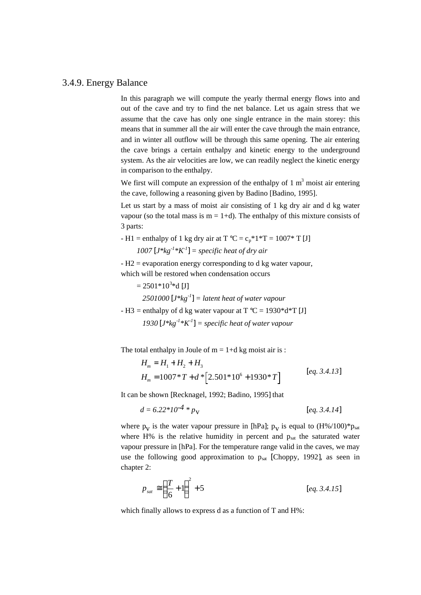## 3.4.9. Energy Balance

In this paragraph we will compute the yearly thermal energy flows into and out of the cave and try to find the net balance. Let us again stress that we assume that the cave has only one single entrance in the main storey: this means that in summer all the air will enter the cave through the main entrance, and in winter all outflow will be through this same opening. The air entering the cave brings a certain enthalpy and kinetic energy to the underground system. As the air velocities are low, we can readily neglect the kinetic energy in comparison to the enthalpy.

We first will compute an expression of the enthalpy of  $1 \text{ m}^3$  moist air entering the cave, following a reasoning given by Badino [Badino, 1995].

Let us start by a mass of moist air consisting of 1 kg dry air and d kg water vapour (so the total mass is  $m = 1+d$ ). The enthalpy of this mixture consists of 3 parts:

- H1 = enthalpy of 1 kg dry air at  $T^{\circ}C = c_p * 1 * T = 1007 * T [J]$ 

*1007* [ $J^*kg^{-1} * K^{-1}$ ] = specific heat of dry air

- H2 = evaporation energy corresponding to d kg water vapour, which will be restored when condensation occurs

 $= 2501*10^{3}*d$  [J]  $2501000$   $[J*kg^{-1}]$  = latent heat of water vapour - H3 = enthalpy of d kg water vapour at  $T^{\circ}C = 1930^*d^*T$  [J]

1930  $[J^*kg^{-1} * K^{-1}]$  = specific heat of water vapour

The total enthalpy in Joule of  $m = 1+d$  kg moist air is :

$$
H_m = H_1 + H_2 + H_3
$$
  
\n
$$
H_m = 1007 * T + d * [2.501 * 10^6 + 1930 * T]
$$
 [eq. 3.4.13]

It can be shown [Recknagel, 1992; Badino, 1995] that

$$
d = 6.22 \cdot 10^{-4} \cdot p_{\rm V} \qquad \qquad [eq. 3.4.14]
$$

where  $p_V$  is the water vapour pressure in [hPa];  $p_V$  is equal to  $(H\%/100)^*p_{sat}$ where  $H\%$  is the relative humidity in percent and  $p_{sat}$  the saturated water vapour pressure in [hPa]. For the temperature range valid in the caves, we may use the following good approximation to  $p_{sat}$  [Choppy, 1992], as seen in chapter 2:

$$
p_{sat} \cong \left(\frac{T}{6} + 1\right)^2 + 5
$$
 [eq. 3.4.15]

which finally allows to express d as a function of T and H%: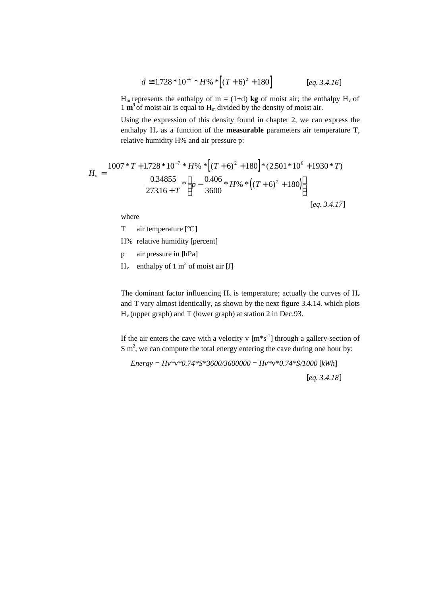$$
d \cong 1.728 * 10^{-7} * H\% * [(T+6)^{2} + 180] \qquad \qquad [eq. 3.4.16]
$$

 $H_m$  represents the enthalpy of  $m = (1+d)$  kg of moist air; the enthalpy  $H_v$  of 1  $m<sup>3</sup>$  of moist air is equal to  $H<sub>m</sub>$  divided by the density of moist air.

Using the expression of this density found in chapter 2, we can express the enthalpy H<sub>y</sub> as a function of the **measurable** parameters air temperature T, relative humidity H% and air pressure p:

$$
H_{\nu} = \frac{1007 * T + 1.728 * 10^{-7} * H\% * [(T + 6)^{2} + 180] * (2.501 * 10^{6} + 1930 * T)}{0.34855} \times \left[ p - \frac{0.406}{3600} * H\% * ((T + 6)^{2} + 180) \right]
$$
\n[eq. 3.4.17]

where

T air temperature [°C]

H% relative humidity [percent]

- p air pressure in [hPa]
- $H_v$  enthalpy of 1 m<sup>3</sup> of moist air [J]

The dominant factor influencing  $H_v$  is temperature; actually the curves of  $H_v$ and T vary almost identically, as shown by the next figure 3.4.14. which plots  $H<sub>v</sub>$  (upper graph) and T (lower graph) at station 2 in Dec.93.

If the air enters the cave with a velocity v  $[m*s^{-1}]$  through a gallery-section of S  $m<sup>2</sup>$ , we can compute the total energy entering the cave during one hour by:

Energy = 
$$
Hv*v*0.74*S*3600/3600000 = Hv*v*0.74*S/1000 [kWh]
$$
  
[eq. 3.4.18]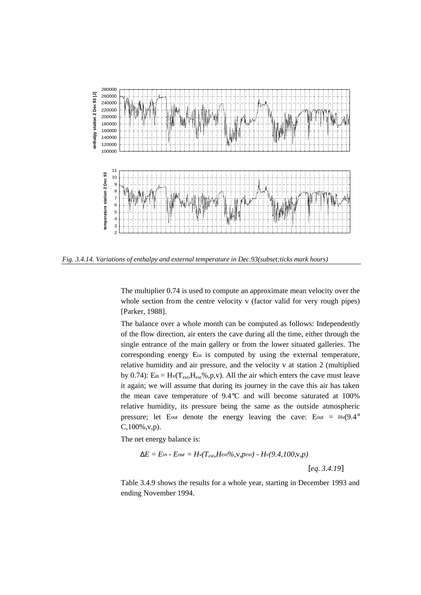

*Fig. 3.4.14. Variations of enthalpy and external temperature in Dec.93(subset;ticks mark hours)*

The multiplier 0.74 is used to compute an approximate mean velocity over the whole section from the centre velocity v (factor valid for very rough pipes) [Parker, 1988].

The balance over a whole month can be computed as follows: Independently of the flow direction, air enters the cave during all the time, either through the single entrance of the main gallery or from the lower situated galleries. The corresponding energy Ein is computed by using the external temperature, relative humidity and air pressure, and the velocity v at station 2 (multiplied by 0.74):  $\text{Ein} = H_v(T_{ext}, H_{ext}, \mathcal{V}, p, v)$ . All the air which enters the cave must leave it again; we will assume that during its journey in the cave this air has taken the mean cave temperature of 9.4°C and will become saturated at 100% relative humidity, its pressure being the same as the outside atmospheric pressure; let Eout denote the energy leaving the cave: Eout =  $Hv(9.4^{\circ}$ C,100%,v,p).

The net energy balance is:

$$
DE = Ein - Eout = Hv(Text, Hext%, v, pext) - Hv(9.4, 100, v, p)
$$
\n[eq. 3.4.19]

Table 3.4.9 shows the results for a whole year, starting in December 1993 and ending November 1994.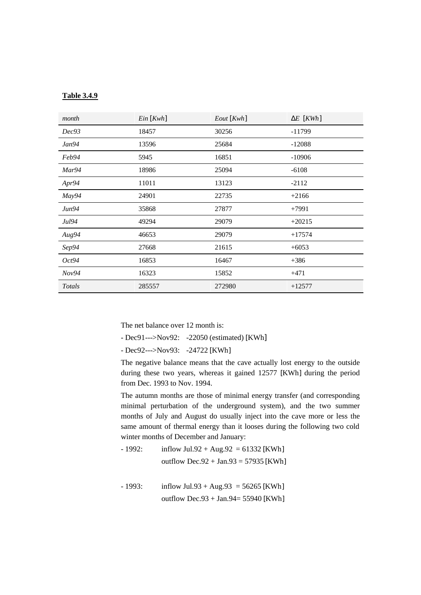## **Table 3.4.9**

| month  | Ein [Kwh] | Eout [Kwh] | DE [KWh] |
|--------|-----------|------------|----------|
| Dec93  | 18457     | 30256      | $-11799$ |
| Jan94  | 13596     | 25684      | $-12088$ |
| Feb94  | 5945      | 16851      | $-10906$ |
| Mar94  | 18986     | 25094      | $-6108$  |
| Apr94  | 11011     | 13123      | $-2112$  |
| May94  | 24901     | 22735      | $+2166$  |
| Jun94  | 35868     | 27877      | $+7991$  |
| Jul94  | 49294     | 29079      | $+20215$ |
| Aug94  | 46653     | 29079      | $+17574$ |
| Sep94  | 27668     | 21615      | $+6053$  |
| Oct94  | 16853     | 16467      | $+386$   |
| Nov94  | 16323     | 15852      | $+471$   |
| Totals | 285557    | 272980     | $+12577$ |

The net balance over 12 month is:

- Dec91--->Nov92: -22050 (estimated) [KWh]

- Dec92--->Nov93: -24722 [KWh]

The negative balance means that the cave actually lost energy to the outside during these two years, whereas it gained 12577 [KWh] during the period from Dec. 1993 to Nov. 1994.

The autumn months are those of minimal energy transfer (and corresponding minimal perturbation of the underground system), and the two summer months of July and August do usually inject into the cave more or less the same amount of thermal energy than it looses during the following two cold winter months of December and January:

- $1992$ : inflow Jul.92 + Aug.92 = 61332 [KWh] outflow Dec.92 + Jan.93 =  $57935$  [KWh]
- $1993$ : inflow Jul.93 + Aug.93 = 56265 [KWh] outflow Dec.93 + Jan.94= 55940 [KWh]